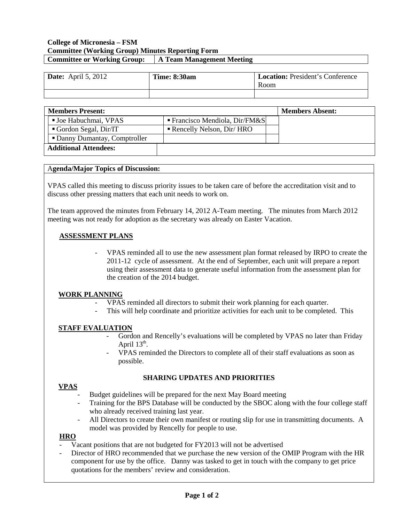### **College of Micronesia – FSM Committee (Working Group) Minutes Reporting Form Committee or Working Group: A Team Management Meeting**

| Date: April 5, 2012 | <b>Time: 8:30am</b> | <b>Location:</b> President's Conference<br>Room |
|---------------------|---------------------|-------------------------------------------------|
|                     |                     |                                                 |

| <b>Members Present:</b> |                               |                                          | <b>Members Absent:</b> |
|-------------------------|-------------------------------|------------------------------------------|------------------------|
|                         | <b>Joe Habuchmai, VPAS</b>    | <b>Francisco Mendiola, Dir/FM&amp;S</b>  |                        |
|                         | Gordon Segal, Dir/IT          | $\blacksquare$ Rencelly Nelson, Dir/ HRO |                        |
|                         | • Danny Dumantay, Comptroller |                                          |                        |
|                         | <b>Additional Attendees:</b>  |                                          |                        |

## A**genda/Major Topics of Discussion:**

VPAS called this meeting to discuss priority issues to be taken care of before the accreditation visit and to discuss other pressing matters that each unit needs to work on.

The team approved the minutes from February 14, 2012 A-Team meeting. The minutes from March 2012 meeting was not ready for adoption as the secretary was already on Easter Vacation.

# **ASSESSMENT PLANS**

- VPAS reminded all to use the new assessment plan format released by IRPO to create the 2011-12 cycle of assessment. At the end of September, each unit will prepare a report using their assessment data to generate useful information from the assessment plan for the creation of the 2014 budget.

### **WORK PLANNING**

- VPAS reminded all directors to submit their work planning for each quarter.
- This will help coordinate and prioritize activities for each unit to be completed. This

### **STAFF EVALUATION**

- Gordon and Rencelly's evaluations will be completed by VPAS no later than Friday April  $13<sup>th</sup>$ .
- VPAS reminded the Directors to complete all of their staff evaluations as soon as possible.

# **SHARING UPDATES AND PRIORITIES**

### **VPAS**

- Budget guidelines will be prepared for the next May Board meeting
- Training for the BPS Database will be conducted by the SBOC along with the four college staff who already received training last year.
- All Directors to create their own manifest or routing slip for use in transmitting documents. A model was provided by Rencelly for people to use.

## **HRO**

- Vacant positions that are not budgeted for FY2013 will not be advertised
- Director of HRO recommended that we purchase the new version of the OMIP Program with the HR component for use by the office. Danny was tasked to get in touch with the company to get price quotations for the members' review and consideration.